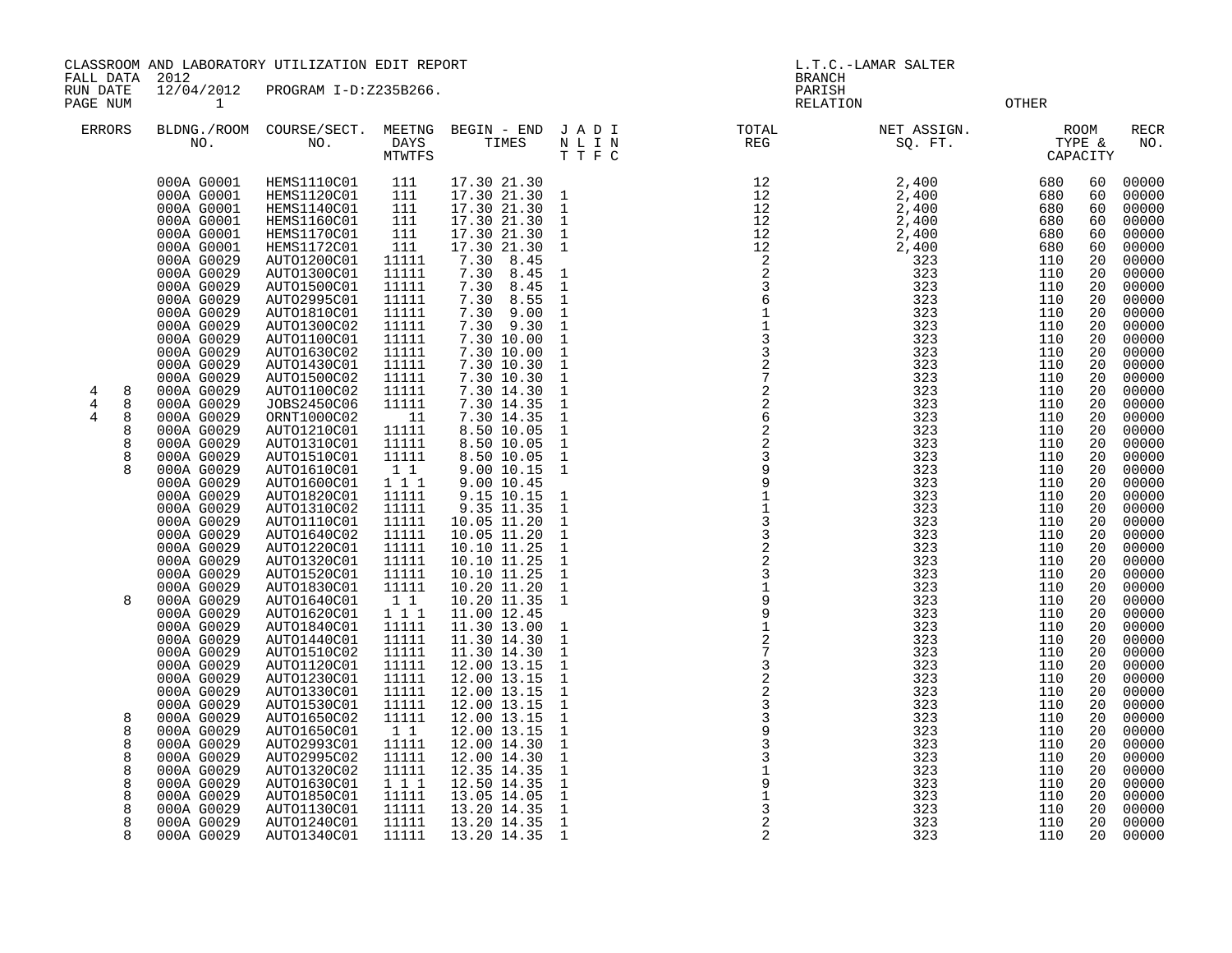CLASSROOM AND LABORATORY UTILIZATION EDIT REPORT AND REVORT AND RESOLUTION OF L.T.C.-LAMAR SALTER

FALL DATA 2012 BRANCH

RUN DATE 12/04/2012 PROGRAM I-D:Z235B266. PAGE NUM 1 RELATION OTHER

| 35B266.                                                                                                                                                                                                                                              |                                                                                                                                                                                                                                                                                                                                                                                                                                         |                                                                                                                                                                                                                                                                                                               | BRANCH<br>PARISH<br><b>RELATION</b>                         |                                                                                                                                                                                                                     | <b>OTHER</b>                                                                                                                                                                                            |                                                                                                                                                                                                                                                                                                                                                                                                                                                 |
|------------------------------------------------------------------------------------------------------------------------------------------------------------------------------------------------------------------------------------------------------|-----------------------------------------------------------------------------------------------------------------------------------------------------------------------------------------------------------------------------------------------------------------------------------------------------------------------------------------------------------------------------------------------------------------------------------------|---------------------------------------------------------------------------------------------------------------------------------------------------------------------------------------------------------------------------------------------------------------------------------------------------------------|-------------------------------------------------------------|---------------------------------------------------------------------------------------------------------------------------------------------------------------------------------------------------------------------|---------------------------------------------------------------------------------------------------------------------------------------------------------------------------------------------------------|-------------------------------------------------------------------------------------------------------------------------------------------------------------------------------------------------------------------------------------------------------------------------------------------------------------------------------------------------------------------------------------------------------------------------------------------------|
| MEETNG<br>DAYS<br>MTWTFS                                                                                                                                                                                                                             | BEGIN - END<br>TIMES                                                                                                                                                                                                                                                                                                                                                                                                                    | J A D I<br>N L I N<br>TTFC                                                                                                                                                                                                                                                                                    | TOTAL<br>REG                                                | NET ASSIGN.<br>SO. FT.                                                                                                                                                                                              | ROOM<br>TYPE &<br>CAPACITY                                                                                                                                                                              | <b>RECR</b><br>NO.                                                                                                                                                                                                                                                                                                                                                                                                                              |
| 111<br>111<br>111<br>111<br>111<br>111<br>11111<br>11111<br>11111<br>11111<br>11111<br>11111<br>11111<br>11111<br>11111<br>11111<br>11111<br>11111<br>11<br>11111<br>11111<br>11111<br>$1\quad1$<br>111<br>11111<br>11111<br>11111<br>11111<br>11111 | 17.30 21.30<br>17.30 21.30<br>17.30 21.30<br>17.30 21.30<br>17.30 21.30<br>17.30 21.30<br>7.30<br>8.45<br>7.30<br>8.45<br>7.30<br>8.45<br>7.30<br>8.55<br>7.30<br>9.00<br>7.30<br>9.30<br>7.30 10.00<br>7.30 10.00<br>7.30 10.30<br>7.30 10.30<br>7.30 14.30<br>7.30 14.35<br>7.30 14.35<br>8.50 10.05<br>8.50 10.05<br>8.50 10.05<br>9.00 10.15<br>9.00 10.45<br>9.15 10.15<br>9.35 11.35<br>10.05 11.20<br>10.05 11.20<br>10.10 11.25 | $\mathbf{1}$<br>1<br>1<br>1<br>1<br>1<br>$\mathbf{1}$<br>$\mathbf{1}$<br>1<br>$\mathbf{1}$<br>$\mathbf 1$<br>$\mathbf{1}$<br>$\mathbf{1}$<br>$\mathbf{1}$<br>$\mathbf{1}$<br>$\mathbf{1}$<br>$\mathbf{1}$<br>1<br>1<br>$\mathbf{1}$<br>$\mathbf{1}$<br>$\mathbf{1}$<br>1<br>1<br>$\mathbf{1}$<br>$\mathbf{1}$ | 12<br>12<br>12<br>12<br>12<br>12<br>22361133272262239911332 | 2,400<br>2,400<br>2,400<br>2,400<br>2,400<br>2,400<br>323<br>323<br>323<br>323<br>323<br>323<br>323<br>323<br>323<br>323<br>323<br>323<br>323<br>323<br>323<br>323<br>323<br>323<br>323<br>323<br>323<br>323<br>323 | 680<br>680<br>680<br>680<br>680<br>680<br>110<br>110<br>110<br>110<br>110<br>110<br>110<br>110<br>110<br>110<br>110<br>110<br>110<br>110<br>110<br>110<br>110<br>110<br>110<br>110<br>110<br>110<br>110 | 00000<br>60<br>00000<br>60<br>00000<br>60<br>60<br>00000<br>00000<br>60<br>60<br>00000<br>20<br>00000<br>20<br>00000<br>00000<br>20<br>20<br>00000<br>20<br>00000<br>00000<br>20<br>00000<br>20<br>20<br>00000<br>20<br>00000<br>20<br>00000<br>20<br>00000<br>20<br>00000<br>20<br>00000<br>20<br>00000<br>20<br>00000<br>20<br>00000<br>20<br>00000<br>20<br>00000<br>20<br>00000<br>20<br>00000<br>20<br>00000<br>20<br>00000<br>20<br>00000 |
|                                                                                                                                                                                                                                                      |                                                                                                                                                                                                                                                                                                                                                                                                                                         |                                                                                                                                                                                                                                                                                                               |                                                             |                                                                                                                                                                                                                     |                                                                                                                                                                                                         |                                                                                                                                                                                                                                                                                                                                                                                                                                                 |

| ERRORS              |        | BLDNG./ROOM<br>NO.       | COURSE/SECT.<br>NO.        | MEETNG<br><b>DAYS</b><br><b>MTWTFS</b> | BEGIN - END<br>TIMES         | JADI<br>N L I N<br>TTFC      | TOTAL<br>REG                               | NET ASSIGN.<br>SQ. FT. |            | ROOM<br>TYPE &<br>CAPACITY | RECR<br>NO.    |
|---------------------|--------|--------------------------|----------------------------|----------------------------------------|------------------------------|------------------------------|--------------------------------------------|------------------------|------------|----------------------------|----------------|
|                     |        | 000A G0001<br>000A G0001 | HEMS1110C01<br>HEMS1120C01 | 111<br>111                             | 17.30 21.30<br>17.30 21.30   | $\mathbf{1}$                 | 12<br>12                                   | 2,400<br>2,400         | 680<br>680 | 60<br>60                   | 00000<br>00000 |
|                     |        | 000A G0001               | <b>HEMS1140C01</b>         | 111                                    | 17.30 21.30                  | $\mathbf{1}$                 | 12                                         | 2,400                  | 680        | 60                         | 00000          |
|                     |        | 000A G0001               | HEMS1160C01                | 111                                    | 17.30 21.30                  | $\mathbf{1}$                 | 12                                         | 2,400                  | 680        | 60                         | 00000          |
|                     |        | 000A G0001               | <b>HEMS1170C01</b>         | 111                                    | 17.30 21.30                  | $\mathbf{1}$                 | 12                                         | 2,400                  | 680        | 60                         | 00000          |
|                     |        | 000A G0001               | HEMS1172C01                | 111                                    | 17.30 21.30                  | $\mathbf{1}$                 | 12                                         | 2,400                  | 680        | 60                         | 00000          |
|                     |        | 000A G0029               | AUTO1200C01<br>AUTO1300C01 | 11111<br>11111                         | 7.30<br>8.45                 |                              | 2<br>$\overline{c}$                        | 323                    | 110<br>110 | 20<br>20                   | 00000          |
|                     |        | 000A G0029<br>000A G0029 | AUTO1500C01                | 11111                                  | 7.30<br>8.45<br>7.30<br>8.45 | $\mathbf{1}$<br>$\mathbf{1}$ | 3                                          | 323<br>323             | 110        | 20                         | 00000<br>00000 |
|                     |        | 000A G0029               | AUTO2995C01                | 11111                                  | 7.30<br>8.55                 | $\mathbf{1}$                 | 6                                          | 323                    | 110        | 20                         | 00000          |
|                     |        | 000A G0029               | AUTO1810C01                | 11111                                  | 9.00<br>7.30                 | $\mathbf{1}$                 | $\mathbf 1$                                | 323                    | 110        | 20                         | 00000          |
|                     |        | 000A G0029               | AUTO1300C02                | 11111                                  | 7.30 9.30                    | $\mathbf{1}$                 | $\mathbf 1$                                | 323                    | 110        | 20                         | 00000          |
|                     |        | 000A G0029               | AUTO1100C01                | 11111                                  | 7.30 10.00                   | $\mathbf{1}$                 | $\overline{3}$                             | 323                    | 110        | 20                         | 00000          |
|                     |        | 000A G0029               | AUTO1630C02                | 11111                                  | 7.30 10.00                   | $\mathbf{1}$                 | $\mathbf{3}$                               | 323                    | 110        | 20                         | 00000          |
|                     |        | 000A G0029               | AUTO1430C01                | 11111                                  | 7.30 10.30                   | $\mathbf{1}$                 | $\overline{a}$                             | 323                    | 110        | 20                         | 00000          |
|                     |        | 000A G0029               | AUTO1500C02                | 11111                                  | 7.30 10.30                   | $\mathbf{1}$                 | $\overline{7}$                             | 323                    | 110        | 20                         | 00000          |
| 4<br>$\overline{4}$ | 8<br>8 | 000A G0029<br>000A G0029 | AUTO1100C02<br>JOBS2450C06 | 11111                                  | 7.30 14.30<br>7.30 14.35     | $\mathbf 1$                  |                                            | 323<br>323             | 110<br>110 | 20<br>20                   | 00000          |
| 4                   | 8      | 000A G0029               | ORNT1000C02                | 11111<br>11                            | 7.30 14.35                   | $\mathbf{1}$<br>$\mathbf{1}$ | $\begin{array}{c} 2 \\ 2 \\ 6 \end{array}$ | 323                    | 110        | 20                         | 00000<br>00000 |
|                     | 8      | 000A G0029               | AUTO1210C01                | 11111                                  | 8.50 10.05                   | $\mathbf{1}$                 | $\sqrt{2}$                                 | 323                    | 110        | 20                         | 00000          |
|                     | 8      | 000A G0029               | AUTO1310C01                | 11111                                  | 8.50 10.05                   | $\mathbf{1}$                 |                                            | 323                    | 110        | 20                         | 00000          |
|                     | 8      | 000A G0029               | AUTO1510C01                | 11111                                  | 8.50 10.05                   | $\mathbf{1}$                 | $\frac{2}{3}$                              | 323                    | 110        | 20                         | 00000          |
|                     |        | 000A G0029               | AUTO1610C01                | $1\quad1$                              | 9.00 10.15                   | $\mathbf 1$                  | 9                                          | 323                    | 110        | 20                         | 00000          |
|                     |        | 000A G0029               | AUTO1600C01                | 1 1 1                                  | 9.00 10.45                   |                              | 9                                          | 323                    | 110        | 20                         | 00000          |
|                     |        | 000A G0029               | AUTO1820C01                | 11111                                  | 9.15 10.15                   | $\mathbf 1$                  |                                            | 323                    | 110        | 20                         | 00000          |
|                     |        | 000A G0029               | AUTO1310C02                | 11111                                  | 9.35 11.35                   | $\mathbf{1}$                 | $\frac{1}{3}$                              | 323                    | 110        | 20                         | 00000          |
|                     |        | 000A G0029<br>000A G0029 | AUTO1110C01                | 11111<br>11111                         | 10.05 11.20<br>10.05 11.20   | $\mathbf{1}$<br>$\mathbf{1}$ | $\mathbf{3}$                               | 323<br>323             | 110<br>110 | 20<br>20                   | 00000<br>00000 |
|                     |        | 000A G0029               | AUTO1640C02<br>AUTO1220C01 | 11111                                  | 10.10 11.25                  | $\mathbf{1}$                 | $\boldsymbol{2}$                           | 323                    | 110        | 20                         | 00000          |
|                     |        | 000A G0029               | AUTO1320C01                | 11111                                  | 10.10 11.25                  | $\mathbf 1$                  | $\overline{c}$                             | 323                    | 110        | 20                         | 00000          |
|                     |        | 000A G0029               | AUTO1520C01                | 11111                                  | 10.10 11.25                  | $\mathbf{1}$                 | $\mathbf{3}$                               | 323                    | 110        | 20                         | 00000          |
|                     |        | 000A G0029               | AUTO1830C01                | 11111                                  | 10.20 11.20                  | $\mathbf{1}$                 | $\overline{1}$                             | 323                    | 110        | 20                         | 00000          |
|                     | 8      | 000A G0029               | AUTO1640C01                | 1 1                                    | 10.20 11.35                  | $\mathbf{1}$                 | 9                                          | 323                    | 110        | 20                         | 00000          |
|                     |        | 000A G0029               | AUTO1620C01                | 111                                    | 11.00 12.45                  |                              | 9                                          | 323                    | 110        | 20                         | 00000          |
|                     |        | 000A G0029               | AUTO1840C01                | 11111                                  | 11.30 13.00                  | $\mathbf 1$                  | $\mathbf{1}$                               | 323                    | 110        | 20                         | 00000          |
|                     |        | 000A G0029               | AUTO1440C01                | 11111                                  | 11.30 14.30                  | $\mathbf{1}$                 | $\overline{c}$<br>$7\phantom{.0}$          | 323                    | 110        | 20                         | 00000          |
|                     |        | 000A G0029<br>000A G0029 | AUTO1510C02<br>AUTO1120C01 | 11111<br>11111                         | 11.30 14.30<br>12.00 13.15   | $\mathbf 1$<br>$\mathbf{1}$  | $\overline{3}$                             | 323<br>323             | 110<br>110 | 20<br>20                   | 00000<br>00000 |
|                     |        | 000A G0029               | AUTO1230C01                | 11111                                  | 12.00 13.15                  | $\mathbf{1}$                 | $\sqrt{2}$                                 | 323                    | 110        | 20                         | 00000          |
|                     |        | 000A G0029               | AUTO1330C01                | 11111                                  | 12.00 13.15                  | $\mathbf{1}$                 | $\overline{c}$                             | 323                    | 110        | 20                         | 00000          |
|                     |        | 000A G0029               | AUTO1530C01                | 11111                                  | 12.00 13.15                  | $\mathbf{1}$                 | $\overline{3}$                             | 323                    | 110        | 20                         | 00000          |
|                     | 8      | 000A G0029               | AUTO1650C02                | 11111                                  | 12.00 13.15                  | $\mathbf{1}$                 | $\mathsf 3$                                | 323                    | 110        | 20                         | 00000          |
|                     | 8      | 000A G0029               | AUTO1650C01                | 1 1                                    | 12.00 13.15                  | $\mathbf{1}$                 | 9                                          | 323                    | 110        | 20                         | 00000          |
|                     | 8      | 000A G0029               | AUTO2993C01                | 11111                                  | 12.00 14.30                  | $\mathbf{1}$                 | $\overline{3}$                             | 323                    | 110        | 20                         | 00000          |
|                     | 8      | 000A G0029               | AUTO2995C02                | 11111                                  | 12.00 14.30                  | $\mathbf{1}$                 | 3                                          | 323                    | 110        | 20                         | 00000          |
|                     | 8<br>8 | 000A G0029               | AUTO1320C02                | 11111                                  | 12.35 14.35                  | $\mathbf{1}$<br>$\mathbf{1}$ | $1\,$<br>9                                 | 323                    | 110        | 20                         | 00000          |
|                     | 8      | 000A G0029<br>000A G0029 | AUTO1630C01<br>AUTO1850C01 | 1 1 1<br>11111                         | 12.50 14.35<br>13.05 14.05   | $\mathbf{1}$                 |                                            | 323<br>323             | 110<br>110 | 20<br>20                   | 00000<br>00000 |
|                     | 8      | 000A G0029               | AUTO1130C01                | 11111                                  | 13.20 14.35                  | $\mathbf{1}$                 | 3                                          | 323                    | 110        | 20                         | 00000          |
|                     | 8      | 000A G0029               | AUTO1240C01                | 11111                                  | 13.20 14.35                  | $\mathbf{1}$                 | 2                                          | 323                    | 110        | 20                         | 00000          |
|                     | 8      | 000A G0029               | AUTO1340C01                | 11111                                  | 13.20 14.35                  | 1                            | 2                                          | 323                    | 110        | 20                         | 00000          |
|                     |        |                          |                            |                                        |                              |                              |                                            |                        |            |                            |                |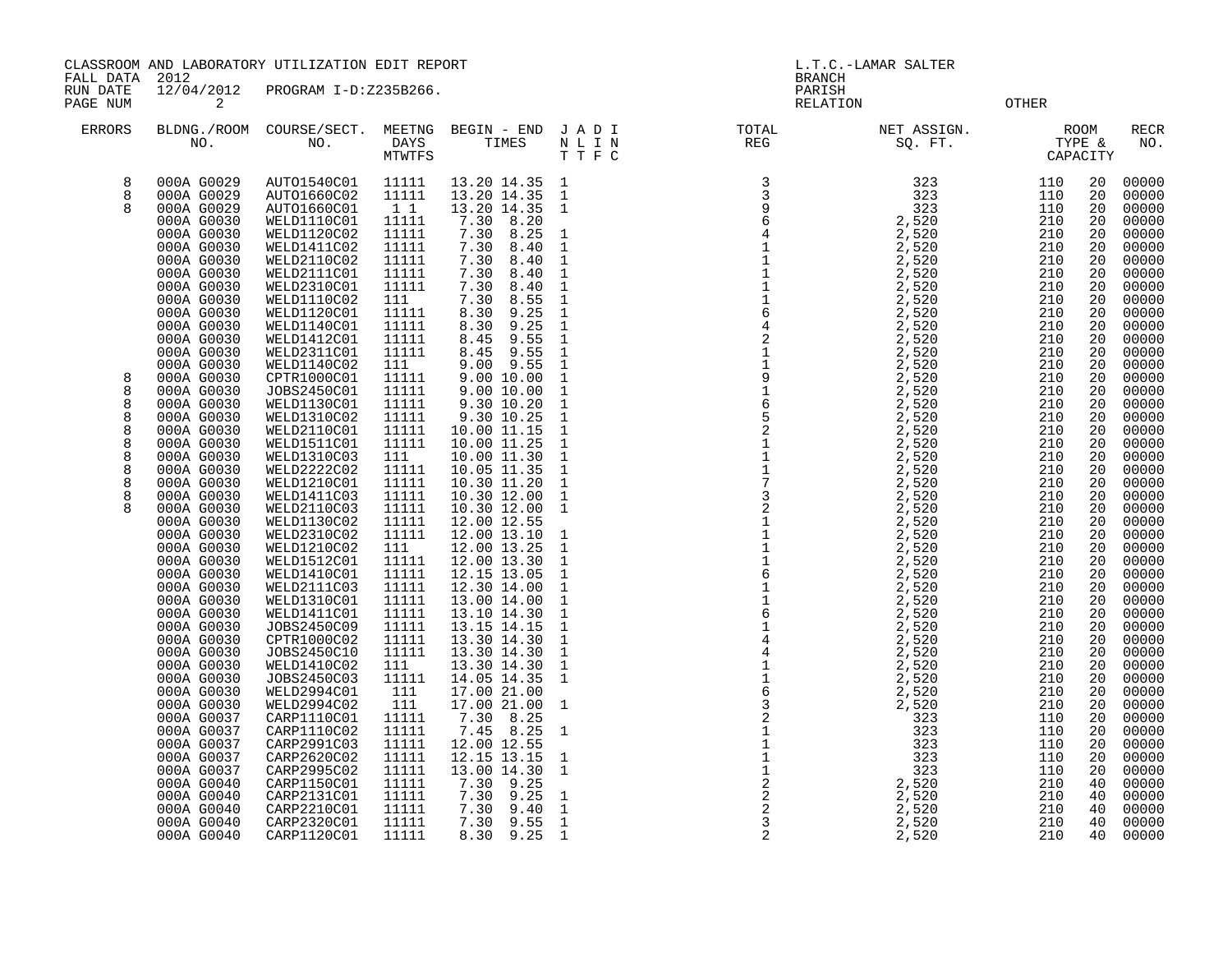CLASSROOM AND LABORATORY UTILIZATION EDIT REPORT SERVICES AND REPORT THE L.T.C.-LAMAR SALTER

FALL DATA 2012 BRANCH

RUN DATE  $\frac{12}{04}/\frac{2012}{201}$  PROGRAM I-D:Z235B266. PAGE NUM 2 CHECK 2 CHECK CONTROL CONTROL CONTROL CONTROL CONTROL CONTROL CONTROL CONTROL CONTROL CONTROL CONTROL

| <b>ERRORS</b> | BLDNG./ROOM<br>NO.       | COURSE/SECT.<br>NO.        | MEETNG<br>DAYS<br>MTWTFS | BEGIN - END<br>TIMES        | JADI<br>NLIN<br>T T F C | TOTAL<br>REG                                    | NET ASSIGN.<br>SQ. FT. |            | ROOM<br>TYPE &<br>CAPACITY | <b>RECR</b><br>NO. |
|---------------|--------------------------|----------------------------|--------------------------|-----------------------------|-------------------------|-------------------------------------------------|------------------------|------------|----------------------------|--------------------|
| 8             | 000A G0029               | AUTO1540C01                | 11111                    | 13.20 14.35                 | 1                       | 3                                               | 323                    | 110        | 20                         | 00000              |
| 8             | 000A G0029               | AUTO1660C02                | 11111                    | 13.20 14.35                 | $\mathbf{1}$            | $\overline{3}$                                  | 323                    | 110        | 20                         | 00000              |
| $\mathsf{R}$  | 000A G0029               | AUTO1660C01                | 1 1                      | 13.20 14.35                 | -1                      | $\begin{array}{c} 9 \\ 6 \end{array}$           | 323                    | 110        | 20                         | 00000              |
|               | 000A G0030               | WELD1110C01                | 11111                    | 7.30<br>8.20                |                         |                                                 | 2,520                  | 210        | 20                         | 00000              |
|               | 000A G0030               | WELD1120C02                | 11111                    | 8.25<br>7.30                | $\mathbf{1}$            | $\overline{4}$                                  | 2,520                  | 210        | 20                         | 00000              |
|               | 000A G0030               | WELD1411C02                | 11111                    | 7.30<br>8.40                | $\mathbf{1}$            |                                                 | 2,520                  | 210        | 20                         | 00000              |
|               | 000A G0030               | WELD2110C02                | 11111                    | 7.30<br>8.40                | $\mathbf{1}$            |                                                 | 2,520                  | 210        | 20                         | 00000              |
|               | 000A G0030               | WELD2111C01                | 11111                    | 7.30<br>8.40                | $\mathbf{1}$            |                                                 | 2,520                  | 210        | 20                         | 00000              |
|               | 000A G0030               | WELD2310C01                | 11111                    | 7.30<br>8.40                | 1                       | $1111$<br>$111$<br>$6$                          | 2,520                  | 210        | 20                         | 00000              |
|               | 000A G0030               | WELD1110C02                | 111                      | 7.30<br>8.55                | $\mathbf{1}$            |                                                 | 2,520                  | 210        | 20                         | 00000              |
|               | 000A G0030               | WELD1120C01                | 11111                    | 8.30<br>9.25                | $\mathbf{1}$            |                                                 | 2,520                  | 210        | 20                         | 00000              |
|               | 000A G0030               | WELD1140C01                | 11111                    | 9.25<br>8.30                | 1                       | $\,4$                                           | 2,520                  | 210        | 20                         | 00000              |
|               | 000A G0030               | WELD1412C01                | 11111                    | 8.45<br>9.55                | 1                       |                                                 | 2,520                  | 210        | 20                         | 00000              |
|               | 000A G0030               | WELD2311C01                | 11111                    | 9.55<br>8.45                | $\mathbf{1}$            | $\begin{smallmatrix} 2\\1\\1 \end{smallmatrix}$ | 2,520                  | 210        | 20                         | 00000              |
| 8             | 000A G0030               | WELD1140C02                | 111                      | 9.55<br>9.00                | $\mathbf{1}$            |                                                 | 2,520                  | 210        | 20                         | 00000              |
| 8             | 000A G0030<br>000A G0030 | CPTR1000C01<br>JOBS2450C01 | 11111<br>11111           | 9.00 10.00<br>9.00 10.00    | $\mathbf{1}$<br>1       |                                                 | 2,520                  | 210<br>210 | 20<br>20                   | 00000<br>00000     |
| 8             |                          |                            | 11111                    |                             | 1                       |                                                 | 2,520<br>2,520         | 210        | 20                         |                    |
| 8             | 000A G0030<br>000A G0030 | WELD1130C01<br>WELD1310C02 | 11111                    | 9.30 10.20<br>9.30 10.25    | $\mathbf 1$             | 91652117                                        | 2,520                  | 210        | 20                         | 00000<br>00000     |
| 8             | 000A G0030               | WELD2110C01                | 11111                    | 10.00 11.15                 | $\mathbf{1}$            |                                                 | 2,520                  | 210        | 20                         | 00000              |
| 8             | 000A G0030               | WELD1511C01                | 11111                    | 10.00 11.25                 | $\mathbf{1}$            |                                                 | 2,520                  | 210        | 20                         | 00000              |
| 8             | 000A G0030               | WELD1310C03                | 111                      | 10.00 11.30                 | 1                       |                                                 | 2,520                  | 210        | 20                         | 00000              |
| 8             | 000A G0030               | WELD2222C02                | 11111                    | 10.05 11.35                 | $\mathbf{1}$            |                                                 | 2,520                  | 210        | 20                         | 00000              |
| 8             | 000A G0030               | WELD1210C01                | 11111                    | 10.30 11.20                 | $\mathbf{1}$            |                                                 | 2,520                  | 210        | 20                         | 00000              |
| 8             | 000A G0030               | WELD1411C03                | 11111                    | 10.30 12.00                 | $\mathbf{1}$            | $\overline{3}$                                  | 2,520                  | 210        | 20                         | 00000              |
|               | 000A G0030               | WELD2110C03                | 11111                    | 10.30 12.00                 | $\mathbf{1}$            |                                                 | 2,520                  | 210        | 20                         | 00000              |
|               | 000A G0030               | WELD1130C02                | 11111                    | 12.00 12.55                 |                         | $21111$<br>$116$                                | 2,520                  | 210        | 20                         | 00000              |
|               | 000A G0030               | WELD2310C02                | 11111                    | 12.00 13.10                 | $\mathbf{1}$            |                                                 | 2,520                  | 210        | 20                         | 00000              |
|               | 000A G0030               | WELD1210C02                | 111                      | 12.00 13.25                 | 1                       |                                                 | 2,520                  | 210        | 20                         | 00000              |
|               | 000A G0030               | WELD1512C01                | 11111                    | $12.00$ 13.30               | $\mathbf{1}$            |                                                 | 2,520                  | 210        | 20                         | 00000              |
|               | 000A G0030               | WELD1410C01                | 11111                    | 12.15 13.05                 | 1                       |                                                 | 2,520                  | 210        | 20                         | 00000              |
|               | 000A G0030               | WELD2111C03                | 11111                    | 12.30 14.00                 | $\mathbf{1}$            |                                                 | 2,520                  | 210        | 20                         | 00000              |
|               | 000A G0030               | WELD1310C01                | 11111                    | 13.00 14.00                 | $\mathbf{1}$            |                                                 | 2,520                  | 210        | 20                         | 00000              |
|               | 000A G0030               | WELD1411C01                | 11111                    | 13.10 14.30                 | 1                       | 11614                                           | 2,520                  | 210        | 20                         | 00000              |
|               | 000A G0030               | JOBS2450C09                | 11111                    | 13.15 14.15                 | $\mathbf{1}$            |                                                 | 2,520                  | 210        | 20                         | 00000              |
|               | 000A G0030               | CPTR1000C02                | 11111                    | 13.30 14.30                 | $\mathbf{1}$            |                                                 | 2,520                  | 210        | 20                         | 00000              |
|               | 000A G0030               | JOBS2450C10                | 11111                    | 13.30 14.30                 | $\mathbf{1}$            |                                                 | 2,520                  | 210        | 20                         | 00000              |
|               | 000A G0030               | WELD1410C02                | 111                      | 13.30 14.30                 | $\mathbf{1}$            |                                                 | 2,520                  | 210        | 20                         | 00000              |
|               | 000A G0030               | JOBS2450C03                | 11111                    | 14.05 14.35                 | 1                       |                                                 | 2,520                  | 210        | 20                         | 00000              |
|               | 000A G0030               | WELD2994C01                | 111                      | 17.00 21.00                 |                         | 411632                                          | 2,520                  | 210        | 20                         | 00000              |
|               | 000A G0030               | WELD2994C02                | 111                      | 17.00 21.00<br>8.25         | $\mathbf{1}$            |                                                 | 2,520                  | 210        | 20                         | 00000              |
|               | 000A G0037               | CARP1110C01                | 11111                    | 7.30                        |                         |                                                 | 323                    | 110        | 20                         | 00000              |
|               | 000A G0037<br>000A G0037 | CARP1110C02<br>CARP2991C03 | 11111<br>11111           | 7.45<br>8.25<br>12.00 12.55 | 1                       |                                                 | 323<br>323             | 110<br>110 | 20<br>20                   | 00000<br>00000     |
|               | 000A G0037               | CARP2620C02                | 11111                    | 12.15 13.15                 |                         |                                                 | 323                    | 110        | 20                         | 00000              |
|               | 000A G0037               | CARP2995C02                | 11111                    | 13.00 14.30                 | 1<br>1                  |                                                 | 323                    | 110        | 20                         | 00000              |
|               | 000A G0040               | CARP1150C01                | 11111                    | 7.30<br>9.25                |                         | 1111222                                         | 2,520                  | 210        | 40                         | 00000              |
|               | 000A G0040               | CARP2131C01                | 11111                    | 7.30<br>9.25                | 1                       |                                                 | 2,520                  | 210        | 40                         | 00000              |
|               | 000A G0040               | CARP2210C01                | 11111                    | 7.30<br>9.40                | $\mathbf 1$             |                                                 | 2,520                  | 210        | 40                         | 00000              |
|               | 000A G0040               | CARP2320C01                | 11111                    | 9.55<br>7.30                | $\mathbf{1}$            |                                                 | 2,520                  | 210        | 40                         | 00000              |
|               | 000A G0040               | CARP1120C01                | 11111                    | 8.30<br>9.25                | $\mathbf{1}$            | 2                                               | 2,520                  | 210        | 40                         | 00000              |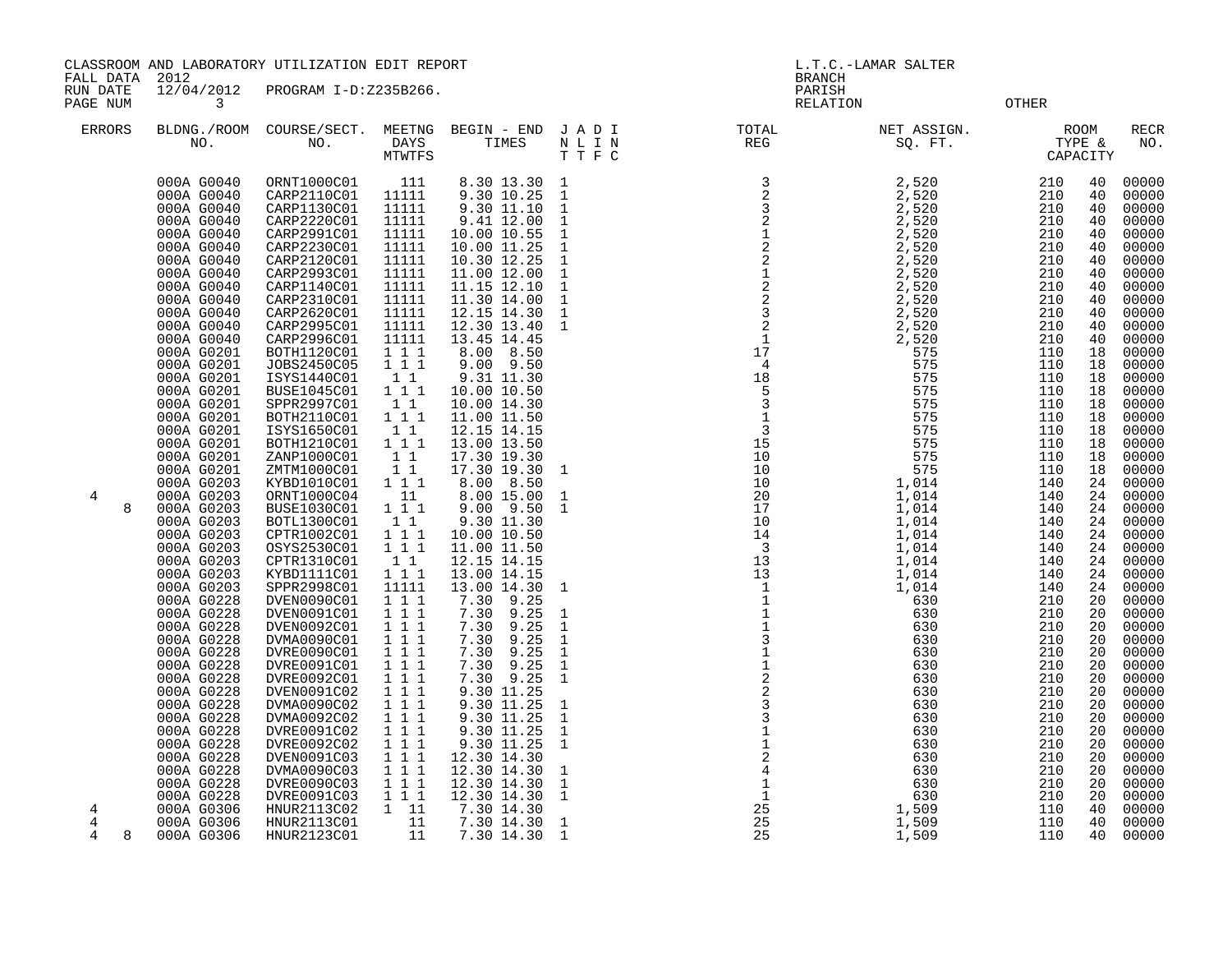CLASSROOM AND LABORATORY UTILIZATION EDIT REPORT SERVICES AND REPORT THE L.T.C.-LAMAR SALTER

FALL DATA 2012 BRANCH

RUN DATE 12/04/2012 PROGRAM I-D:Z235B266.<br>PAGENUM 3<br>RELATION

**PAGE 12 RELATION 3 PAGE 2** 

| <b>ERRORS</b> |   | BLDNG./ROOM<br>NO.       | COURSE/SECT.<br>NO.               | MEETNG<br>DAYS<br>MTWTFS     | BEGIN - END<br>TIMES                                          | JADI<br>N L I N<br>T T F C   | TOTAL<br>REG                                                                                           | NET ASSIGN.<br>SQ. FT. | TYPE &<br>CAPACITY | <b>ROOM</b> | $\verb!RECR!$<br>NO. |
|---------------|---|--------------------------|-----------------------------------|------------------------------|---------------------------------------------------------------|------------------------------|--------------------------------------------------------------------------------------------------------|------------------------|--------------------|-------------|----------------------|
|               |   | 000A G0040<br>000A G0040 | ORNT1000C01<br>CARP2110C01        | 111<br>11111                 | 8.30 13.30<br>9.30 10.25                                      | $\mathbf{1}$<br>$\mathbf{1}$ | $\begin{array}{r} 3 \\ 2 \\ 2 \\ 2 \\ 1 \\ 2 \\ 2 \\ 1 \\ 2 \\ 2 \\ 3 \\ 2 \\ 1 \\ 1 \\ 4 \end{array}$ | 2,520<br>2,520         | 210<br>210         | 40<br>40    | 00000<br>00000       |
|               |   | 000A G0040<br>000A G0040 | CARP1130C01<br>CARP2220C01        | 11111<br>11111               | 9.30 11.10<br>9.41 12.00                                      | $\mathbf{1}$<br>$\mathbf{1}$ |                                                                                                        | 2,520<br>2,520         | 210<br>210         | 40<br>40    | 00000<br>00000       |
|               |   | 000A G0040               | CARP2991C01                       | 11111                        | 10.00 10.55                                                   | $\mathbf{1}$                 |                                                                                                        | 2,520                  | 210                | 40          | 00000                |
|               |   | 000A G0040<br>000A G0040 | CARP2230C01<br>CARP2120C01        | 11111<br>11111               | 10.00 11.25<br>10.30 12.25                                    | $\mathbf{1}$<br>$\mathbf{1}$ |                                                                                                        | 2,520<br>2,520         | 210<br>210         | 40<br>40    | 00000<br>00000       |
|               |   | 000A G0040               | CARP2993C01                       | 11111                        | 11.00 12.00                                                   | $\mathbf{1}$                 |                                                                                                        | 2,520                  | 210                | 40          | 00000                |
|               |   | 000A G0040<br>000A G0040 | CARP1140C01<br>CARP2310C01        | 11111<br>11111               | $11.15$ $12.10$<br>11.30 14.00                                | $\mathbf{1}$<br>$\mathbf{1}$ |                                                                                                        | 2,520<br>2,520         | 210<br>210         | 40<br>40    | 00000<br>00000       |
|               |   | 000A G0040               | CARP2620C01                       | 11111                        | 12.15 14.30                                                   | $\mathbf{1}$                 |                                                                                                        | 2,520                  | 210                | 40          | 00000                |
|               |   | 000A G0040               | CARP2995C01                       | 11111                        | 12.30 13.40                                                   | $\mathbf{1}$                 |                                                                                                        | 2,520                  | 210                | 40          | 00000                |
|               |   | 000A G0040<br>000A G0201 | CARP2996C01<br>BOTH1120C01        | 11111<br>1 1 1               | 13.45 14.45<br>8.00 8.50                                      |                              |                                                                                                        | 2,520<br>575           | 210<br>110         | 40<br>18    | 00000<br>00000       |
|               |   | 000A G0201               | JOBS2450C05                       | 1 1 1                        | 9.00 9.50                                                     |                              | $\overline{4}$                                                                                         | 575                    | 110                | 18          | 00000                |
|               |   | 000A G0201               | ISYS1440C01                       | 11                           | 9.31 11.30                                                    |                              | 18<br>$\overline{5}$                                                                                   | 575                    | 110                | 18          | 00000                |
|               |   | 000A G0201<br>000A G0201 | <b>BUSE1045C01</b><br>SPPR2997C01 | 1 1 1<br>11                  | 10.00 10.50<br>10.00 14.30                                    |                              |                                                                                                        | 575<br>575             | 110<br>110         | 18<br>18    | 00000<br>00000       |
|               |   | 000A G0201               | BOTH2110C01                       | 1 1 1                        | 11.00 11.50                                                   |                              | $\frac{3}{1}$                                                                                          | 575                    | 110                | 18          | 00000                |
|               |   | 000A G0201               | ISYS1650C01                       | 1 1<br>1 1 1                 | 12.15 14.15                                                   |                              | $\overline{3}$<br>15                                                                                   | 575<br>575             | 110<br>110         | 18          | 00000                |
|               |   | 000A G0201<br>000A G0201 | BOTH1210C01<br>ZANP1000C01        | $1\quad1$                    | 13.00 13.50<br>17.30 19.30                                    |                              | 10                                                                                                     | 575                    | 110                | 18<br>18    | 00000<br>00000       |
|               |   | 000A G0201               | ZMTM1000C01                       | 11                           | 17.30 19.30                                                   | $\overline{\phantom{0}}$     |                                                                                                        | 575                    | 110                | 18          | 00000                |
| 4             |   | 000A G0203<br>000A G0203 | KYBD1010C01<br>ORNT1000C04        | 1 1 1<br>11                  | 8.00 8.50<br>8.00 15.00                                       | $\mathbf{1}$                 |                                                                                                        | 1,014<br>1,014         | 140<br>140         | 24<br>24    | 00000<br>00000       |
|               | 8 | 000A G0203               | BUSE1030C01                       | $1 \quad 1 \quad 1$          | 9.00 9.50                                                     | $\mathbf{1}$                 |                                                                                                        | 1,014                  | 140                | 24          | 00000                |
|               |   | 000A G0203               | BOTL1300C01                       | 1 1                          | 9.30 11.30                                                    |                              |                                                                                                        | 1,014                  | 140                | 24          | 00000                |
|               |   | 000A G0203<br>000A G0203 | CPTR1002C01<br>OSYS2530C01        | 1 1 1<br>111                 | 10.00 10.50<br>11.00 11.50                                    |                              |                                                                                                        | 1,014<br>1,014         | 140<br>140         | 24<br>24    | 00000<br>00000       |
|               |   | 000A G0203               | CPTR1310C01                       | 1 1                          | 12.15 14.15                                                   |                              |                                                                                                        | 1,014                  | 140                | 24          | 00000                |
|               |   | 000A G0203<br>000A G0203 | KYBD1111C01<br>SPPR2998C01        | 1 1 1                        | 13.00 14.15                                                   |                              |                                                                                                        | 1,014<br>1,014         | 140<br>140         | 24<br>24    | 00000                |
|               |   | 000A G0228               | DVEN0090C01                       | 11111<br>1 1 1               | 13.00 14.30<br>7.30<br>9.25                                   | $\mathbf{1}$                 |                                                                                                        | 630                    | 210                | 20          | 00000<br>00000       |
|               |   | 000A G0228               | DVEN0091C01                       | 1 1 1                        | 9.25<br>7.30                                                  | <sup>1</sup>                 |                                                                                                        | 630                    | 210                | 20          | 00000                |
|               |   | 000A G0228<br>000A G0228 | DVEN0092C01<br>DVMA0090C01        | $1 1 1$<br>1 1 1             | 7.30<br>9.25<br>7.30<br>9.25                                  | $\mathbf{1}$<br>$\mathbf{1}$ |                                                                                                        | 630<br>630             | 210<br>210         | 20<br>20    | 00000<br>00000       |
|               |   | 000A G0228               | DVRE0090C01                       | 111                          | 7.30<br>9.25                                                  | $\mathbf{1}$                 |                                                                                                        | 630                    | 210                | 20          | 00000                |
|               |   | 000A G0228               | DVRE0091C01                       | 1 1 1                        | 9.25<br>7.30                                                  | $\mathbf{1}$                 |                                                                                                        | 630                    | 210                | 20          | 00000                |
|               |   | 000A G0228<br>000A G0228 | DVRE0092C01<br>DVEN0091C02        | 111<br>$1 \quad 1 \quad 1$   | 9.25<br>7.30<br>9.30 11.25                                    | 1                            |                                                                                                        | 630<br>630             | 210<br>210         | 20<br>20    | 00000<br>00000       |
|               |   | 000A G0228               | DVMA0090C02                       | 111                          | 9.30 11.25                                                    | $\mathbf{1}$                 |                                                                                                        | 630                    | 210                | 20          | 00000                |
|               |   | 000A G0228               | DVMA0092C02                       | 1 1 1                        | 9.30 11.25                                                    | $\mathbf{1}$                 |                                                                                                        | 630                    | 210                | 20          | 00000                |
|               |   | 000A G0228<br>000A G0228 | DVRE0091C02<br>DVRE0092C02        | $1 \quad 1 \quad 1$<br>1 1 1 | 9.30 11.25<br>9.30 11.25                                      | $\mathbf{1}$<br>$\mathbf{1}$ |                                                                                                        | 630<br>630             | 210<br>210         | 20<br>20    | 00000<br>00000       |
|               |   | 000A G0228               | DVEN0091C03                       | 111                          | 12.30 14.30<br>12.30 14.30                                    |                              |                                                                                                        | 630                    | 210                | 20          | 00000                |
|               |   | 000A G0228<br>000A G0228 | DVMA0090C03<br>DVRE0090C03        | $1 \quad 1 \quad 1$<br>1 1 1 | 12.30 14.30                                                   | $\mathbf{1}$<br>$\mathbf{1}$ |                                                                                                        | 630<br>630             | 210<br>210         | 20<br>20    | 00000<br>00000       |
|               |   | 000A G0228               |                                   | 1 1 1                        |                                                               | <sup>1</sup>                 |                                                                                                        | 630                    | 210                | 20          | 00000                |
| 4             |   | 000A G0306               | DVRE0091C03<br>HNUR2113C02        | $1\quad 11$                  | $\begin{array}{rr} 12.30 & 14.30 \\ 7.30 & 14.30 \end{array}$ |                              | $25\,$                                                                                                 | 1,509                  | 110                | 40          | 00000                |
| 4<br>4        |   | 000A G0306<br>000A G0306 | HNUR2113C01<br>HNUR2123C01        | 11<br>11                     | 7.30 14.30<br>7.30 14.30                                      | $\mathbf{1}$<br><sup>1</sup> | 25<br>25                                                                                               | 1,509<br>1,509         | 110<br>110         | 40<br>40    | 00000<br>00000       |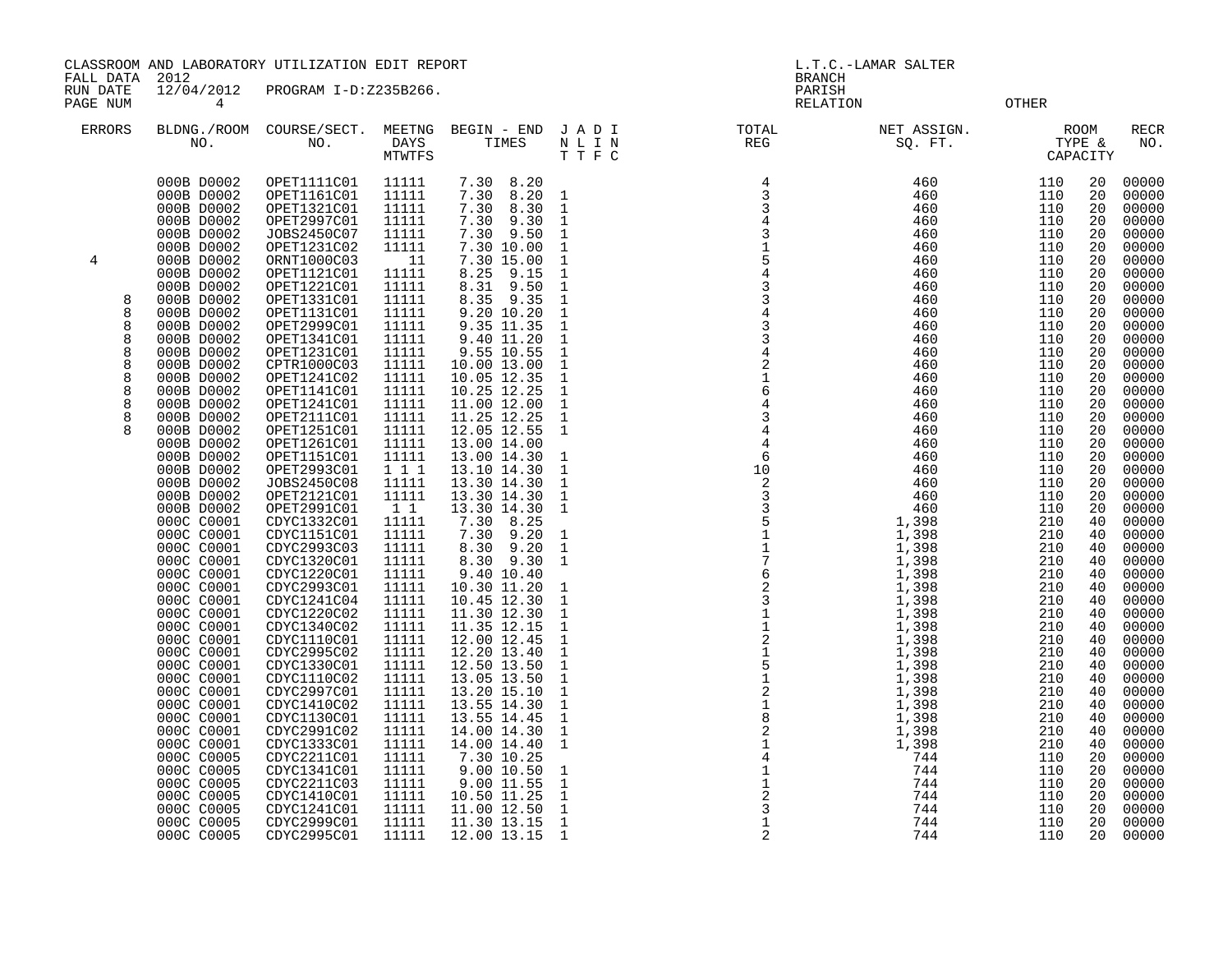CLASSROOM AND LABORATORY UTILIZATION EDIT REPORT SERVICES AND REPORT THE L.T.C.-LAMAR SALTER

FALL DATA 2012 BRANCH

RUN DATE 12/04/2012 PROGRAM I-D:Z235B266.<br>PAGENUM 14

RELATION OTHER

| <b>ERRORS</b>  | NO.                      | BLDNG./ROOM COURSE/SECT.<br>NO. | MEETNG<br>DAYS<br><b>MTWTFS</b> | BEGIN - END<br>TIMES         | JADI<br>N L I N<br>TTFC      | TOTAL<br>REG                                                                                                                                                                                                                                                                                                                                                                        | NET ASSIGN.<br>SQ. FT. | CAPACITY   | <b>ROOM</b><br>TYPE & | <b>RECR</b><br>NO. |
|----------------|--------------------------|---------------------------------|---------------------------------|------------------------------|------------------------------|-------------------------------------------------------------------------------------------------------------------------------------------------------------------------------------------------------------------------------------------------------------------------------------------------------------------------------------------------------------------------------------|------------------------|------------|-----------------------|--------------------|
|                | 000B D0002               | OPET1111C01                     | 11111                           | 7.30 8.20                    |                              |                                                                                                                                                                                                                                                                                                                                                                                     | 460                    | 110        | 20                    | 00000              |
|                | 000B D0002               | OPET1161C01                     | 11111                           | 7.30<br>8.20                 | $\mathbf{1}$                 |                                                                                                                                                                                                                                                                                                                                                                                     | 460                    | 110        | 20                    | 00000              |
|                | 000B D0002<br>000B D0002 | OPET1321C01                     | 11111<br>11111                  | 7.30<br>8.30<br>7.30<br>9.30 | $\mathbf 1$<br>$\mathbf{1}$  | 3                                                                                                                                                                                                                                                                                                                                                                                   | 460<br>460             | 110<br>110 | 20<br>20              | 00000              |
|                | 000B D0002               | OPET2997C01                     | 11111                           | 7.30 9.50                    |                              | 3                                                                                                                                                                                                                                                                                                                                                                                   | 460                    | 110        | 20                    | 00000              |
|                | 000B D0002               | JOBS2450C07<br>OPET1231C02      | 11111                           | 7.30 10.00                   | $\mathbf{1}$<br>$\mathbf{1}$ |                                                                                                                                                                                                                                                                                                                                                                                     | 460                    | 110        | 20                    | 00000<br>00000     |
| $\overline{4}$ | 000B D0002               | ORNT1000C03                     | 11                              | 7.30 15.00                   | $\mathbf{1}$                 | 5                                                                                                                                                                                                                                                                                                                                                                                   | 460                    | 110        | 20                    | 00000              |
|                | 000B D0002               | OPET1121C01                     | 11111                           | 9.15<br>8.25                 | $\mathbf{1}$                 | $\overline{4}$                                                                                                                                                                                                                                                                                                                                                                      | 460                    | 110        | 20                    | 00000              |
|                | 000B D0002               | OPET1221C01                     | 11111                           | 8.31 9.50                    | $\mathbf{1}$                 | $\mathbf{3}$                                                                                                                                                                                                                                                                                                                                                                        | 460                    | 110        | 20                    | 00000              |
| 8              | 000B D0002               | OPET1331C01                     | 11111                           | 8.35 9.35                    | $\mathbf{1}$                 | $\mathsf 3$                                                                                                                                                                                                                                                                                                                                                                         | 460                    | 110        | 20                    | 00000              |
| 8              | 000B D0002               | OPET1131C01                     | 11111                           | 9.20 10.20                   | $\mathbf{1}$                 |                                                                                                                                                                                                                                                                                                                                                                                     | 460                    | 110        | 20                    | 00000              |
| 8              | 000B D0002               | OPET2999C01                     | 11111                           | 9.35 11.35                   | $\mathbf{1}$                 | $\frac{4}{3}$                                                                                                                                                                                                                                                                                                                                                                       | 460                    | 110        | 20                    | 00000              |
| 8              | 000B D0002               | OPET1341C01                     | 11111                           | 9.40 11.20                   | $\mathbf{1}$                 | $\overline{3}$                                                                                                                                                                                                                                                                                                                                                                      | 460                    | 110        | 20                    | 00000              |
| 8              | 000B D0002               | OPET1231C01                     | 11111                           | 9.55 10.55                   | $\mathbf{1}$                 | $\overline{4}$                                                                                                                                                                                                                                                                                                                                                                      | 460                    | 110        | 20                    | 00000              |
| 8              | 000B D0002               | CPTR1000C03                     | 11111                           | 10.00 13.00                  | $\mathbf{1}$                 | $\overline{c}$                                                                                                                                                                                                                                                                                                                                                                      | 460                    | 110        | 20                    | 00000              |
| 8              | 000B D0002               | OPET1241C02                     | 11111                           | 10.05 12.35                  | $\mathbf{1}$                 | $\frac{1}{6}$                                                                                                                                                                                                                                                                                                                                                                       | 460                    | 110        | 20                    | 00000              |
| 8              | 000B D0002               | OPET1141C01                     | 11111                           | 10.25 12.25                  | $\mathbf{1}$                 |                                                                                                                                                                                                                                                                                                                                                                                     | 460                    | 110        | 20                    | 00000              |
| 8              | 000B D0002               | OPET1241C01                     | 11111                           | 11.00 12.00                  | $\mathbf{1}$                 |                                                                                                                                                                                                                                                                                                                                                                                     | 460                    | 110        | 20                    | 00000              |
| 8              | 000B D0002               | OPET2111C01                     | 11111                           | 11.25 12.25                  | $\mathbf{1}$                 | $\mathbf{3}$                                                                                                                                                                                                                                                                                                                                                                        | 460                    | 110        | 20                    | 00000              |
| 8              | 000B D0002               | OPET1251C01                     | 11111<br>11111                  | 12.05 12.55                  | 1                            | $\overline{4}$<br>$\overline{4}$                                                                                                                                                                                                                                                                                                                                                    | 460                    | 110<br>110 | 20                    | 00000              |
|                | 000B D0002<br>000B D0002 | OPET1261C01<br>OPET1151C01      | 11111                           | 13.00 14.00<br>13.00 14.30   | $\mathbf{1}$                 | 6                                                                                                                                                                                                                                                                                                                                                                                   | 460<br>460             | 110        | 20<br>20              | 00000<br>00000     |
|                | 000B D0002               | OPET2993C01                     | 1 1 1                           | 13.10 14.30                  | $\mathbf{1}$                 | 10                                                                                                                                                                                                                                                                                                                                                                                  | 460                    | 110        | 20                    | 00000              |
|                | 000B D0002               | JOBS2450C08                     | 11111                           | 13.30 14.30                  | $\mathbf{1}$                 | 2                                                                                                                                                                                                                                                                                                                                                                                   | 460                    | 110        | 20                    | 00000              |
|                | 000B D0002               | OPET2121C01                     | 11111                           | 13.30 14.30                  | $\mathbf{1}$                 | $\begin{array}{r} 23 \\ 33 \\ 5 \\ 1 \\ 1 \\ 7 \\ 6 \\ 2 \\ 3 \\ 1 \\ 1 \\ 2 \\ 1 \\ 2 \\ 1 \\ 2 \\ 1 \\ 2 \\ 1 \\ 2 \\ 1 \\ 2 \\ 1 \\ 2 \\ 1 \\ 4 \\ 1 \\ 4 \\ 1 \\ 4 \\ 1 \\ 4 \\ 1 \\ 4 \\ 1 \\ 4 \\ 1 \\ 4 \\ 1 \\ 4 \\ 1 \\ 4 \\ 1 \\ 4 \\ 1 \\ 4 \\ 1 \\ 4 \\ 1 \\ 4 \\ 1 \\ 4 \\ 1 \\ 4 \\ 1 \\ 4 \\ 1 \\ 4 \\ 1 \\ 4 \\ 1 \\ 4 \\ 1 \\ 4 \\ 1 \\ 4 \\ 1 \\ 4 \\ 1 \\ 4 \\ $ | 460                    | 110        | 20                    | 00000              |
|                | 000B D0002               | OPET2991C01                     | 1 1                             | 13.30 14.30                  | $\mathbf{1}$                 |                                                                                                                                                                                                                                                                                                                                                                                     | 460                    | 110        | 20                    | 00000              |
|                | 000C C0001               | CDYC1332C01                     | 11111                           | 7.30 8.25                    |                              |                                                                                                                                                                                                                                                                                                                                                                                     | 1,398                  | 210        | 40                    | 00000              |
|                | 000C C0001               | CDYC1151C01                     | 11111                           | 7.30<br>9.20                 | $\mathbf{1}$                 |                                                                                                                                                                                                                                                                                                                                                                                     | 1,398                  | 210        | 40                    | 00000              |
|                | 000C C0001               | CDYC2993C03                     | 11111                           | 8.30 9.20                    | $\mathbf{1}$                 |                                                                                                                                                                                                                                                                                                                                                                                     | 1,398                  | 210        | 40                    | 00000              |
|                | 000C C0001               | CDYC1320C01                     | 11111                           | 8.30 9.30                    | $\mathbf{1}$                 |                                                                                                                                                                                                                                                                                                                                                                                     | 1,398                  | 210        | 40                    | 00000              |
|                | 000C C0001               | CDYC1220C01                     | 11111                           | 9.40 10.40                   |                              |                                                                                                                                                                                                                                                                                                                                                                                     | 1,398                  | 210        | 40                    | 00000              |
|                | 000C C0001               | CDYC2993C01                     | 11111                           | 10.30 11.20                  | 1                            |                                                                                                                                                                                                                                                                                                                                                                                     | 1,398                  | 210        | 40                    | 00000              |
|                | 000C C0001               | CDYC1241C04                     | 11111                           | 10.45 12.30                  | $\mathbf{1}$                 |                                                                                                                                                                                                                                                                                                                                                                                     | 1,398                  | 210        | 40                    | 00000              |
|                | 000C C0001               | CDYC1220C02                     | 11111                           | 11.30 12.30                  | $\mathbf{1}$<br>$\mathbf{1}$ |                                                                                                                                                                                                                                                                                                                                                                                     | 1,398                  | 210<br>210 | 40<br>40              | 00000              |
|                | 000C C0001<br>000C C0001 | CDYC1340C02<br>CDYC1110C01      | 11111<br>11111                  | 11.35 12.15<br>12.00 12.45   | $\mathbf 1$                  |                                                                                                                                                                                                                                                                                                                                                                                     | 1,398<br>1,398         | 210        | 40                    | 00000<br>00000     |
|                | 000C C0001               | CDYC2995C02                     | 11111                           | 12.20 13.40                  | $\mathbf{1}$                 |                                                                                                                                                                                                                                                                                                                                                                                     | 1,398                  | 210        | 40                    | 00000              |
|                | 000C C0001               | CDYC1330C01                     | 11111                           | 12.50 13.50                  | $\mathbf{1}$                 |                                                                                                                                                                                                                                                                                                                                                                                     | 1,398                  | 210        | 40                    | 00000              |
|                | 000C C0001               | CDYC1110C02                     | 11111                           | 13.05 13.50                  | $\mathbf{1}$                 |                                                                                                                                                                                                                                                                                                                                                                                     | 1,398                  | 210        | 40                    | 00000              |
|                | 000C C0001               | CDYC2997C01                     | 11111                           | 13.20 15.10                  | $\mathbf{1}$                 |                                                                                                                                                                                                                                                                                                                                                                                     | 1,398                  | 210        | 40                    | 00000              |
|                | 000C C0001               | CDYC1410C02                     | 11111                           | 13.55 14.30                  | $\mathbf{1}$                 |                                                                                                                                                                                                                                                                                                                                                                                     | 1,398                  | 210        | 40                    | 00000              |
|                | 000C C0001               | CDYC1130C01                     | 11111                           | 13.55 14.45                  | $\mathbf{1}$                 |                                                                                                                                                                                                                                                                                                                                                                                     | 1,398                  | 210        | 40                    | 00000              |
|                | 000C C0001               | CDYC2991C02                     | 11111                           | 14.00 14.30                  | $\mathbf{1}$                 |                                                                                                                                                                                                                                                                                                                                                                                     | 1,398                  | 210        | 40                    | 00000              |
|                | 000C C0001               | CDYC1333C01                     | 11111                           | 14.00 14.40                  | $\mathbf{1}$                 |                                                                                                                                                                                                                                                                                                                                                                                     | 1,398                  | 210        | 40                    | 00000              |
|                | 000C C0005               | CDYC2211C01                     | 11111                           | 7.30 10.25                   |                              |                                                                                                                                                                                                                                                                                                                                                                                     | 744                    | 110        | 20                    | 00000              |
|                | 000C C0005               | CDYC1341C01                     | 11111                           | 9.00 10.50                   | $\mathbf 1$                  |                                                                                                                                                                                                                                                                                                                                                                                     | 744                    | 110        | 20                    | 00000              |
|                | 000C C0005               | CDYC2211C03                     | 11111                           | 9.00 11.55                   | $\mathbf{1}$                 |                                                                                                                                                                                                                                                                                                                                                                                     | 744                    | 110        | 20                    | 00000              |
|                | 000C C0005               | CDYC1410C01                     | 11111                           | 10.50 11.25                  | $\mathbf{1}$                 | $\overline{c}$                                                                                                                                                                                                                                                                                                                                                                      | 744                    | 110        | 20                    | 00000              |
|                | 000C C0005<br>000C C0005 | CDYC1241C01<br>CDYC2999C01      | 11111<br>11111                  | 11.00 12.50<br>11.30 13.15   | $\mathbf{1}$                 | $\mathbf{3}$                                                                                                                                                                                                                                                                                                                                                                        | 744<br>744             | 110<br>110 | 20<br>20              | 00000              |
|                | 000C C0005               | CDYC2995C01                     | 11111                           | 12.00 13.15                  | $\mathbf{1}$<br>1            | 2                                                                                                                                                                                                                                                                                                                                                                                   | 744                    | 110        | 20                    | 00000<br>00000     |
|                |                          |                                 |                                 |                              |                              |                                                                                                                                                                                                                                                                                                                                                                                     |                        |            |                       |                    |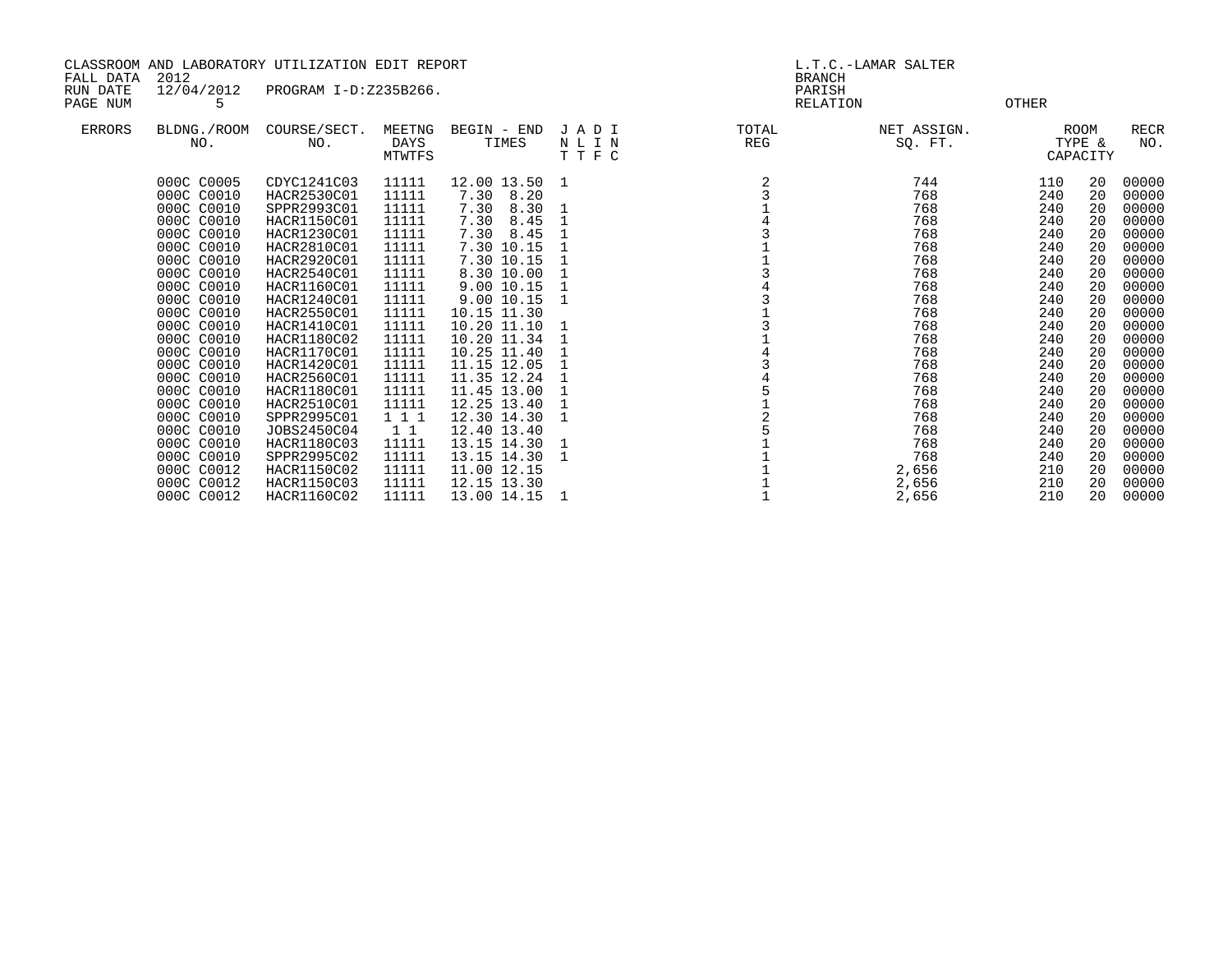| CLASSROOM AND LABORATORY UTILIZATION EDIT REPORT<br>2012<br>FALL DATA<br>12/04/2012<br>RUN DATE<br>PROGRAM I-D:Z235B266. |                                        |                                           |                                 |                                           | L.T.C.-LAMAR SALTER<br><b>BRANCH</b><br>PARISH |              |                        |                   |                            |                         |
|--------------------------------------------------------------------------------------------------------------------------|----------------------------------------|-------------------------------------------|---------------------------------|-------------------------------------------|------------------------------------------------|--------------|------------------------|-------------------|----------------------------|-------------------------|
| PAGE NUM                                                                                                                 | 5.                                     |                                           |                                 |                                           |                                                | RELATION     |                        | OTHER             |                            |                         |
| ERRORS                                                                                                                   | BLDNG./ROOM<br>NO.                     | COURSE/SECT.<br>NO.                       | MEETNG<br><b>DAYS</b><br>MTWTFS | BEGIN - END<br>TIMES                      | JADI<br>NLIN<br>TTFC                           | TOTAL<br>REG | NET ASSIGN.<br>SO. FT. |                   | ROOM<br>TYPE &<br>CAPACITY | <b>RECR</b><br>NO.      |
|                                                                                                                          | 000C C0005<br>000C C0010               | CDYC1241C03<br>HACR2530C01                | 11111<br>11111                  | 12.00 13.50 1<br>7.30 8.20                |                                                |              | 744<br>768             | 110<br>240        | 20<br>20                   | 00000<br>00000          |
|                                                                                                                          | 000C C0010<br>000C C0010               | SPPR2993C01<br>HACR1150C01                | 11111<br>11111                  | 7.30<br>8.30<br>7.30<br>8.45              | 1                                              |              | 768<br>768             | 240<br>240        | 20<br>20                   | 00000<br>00000          |
|                                                                                                                          | 000C C0010<br>000C C0010               | HACR1230C01<br>HACR2810C01                | 11111<br>11111                  | 7.30 8.45<br>7.30 10.15                   |                                                |              | 768<br>768             | 240<br>240        | 20<br>20                   | 00000<br>00000          |
|                                                                                                                          | 000C C0010<br>000C C0010<br>000C C0010 | HACR2920C01<br>HACR2540C01<br>HACR1160C01 | 11111<br>11111<br>11111         | 7.30 10.15<br>8.30 10.00<br>9.00 10.15    | 1                                              |              | 768<br>768<br>768      | 240<br>240<br>240 | 20<br>20<br>20             | 00000<br>00000<br>00000 |
|                                                                                                                          | 000C C0010<br>000C C0010               | HACR1240C01<br>HACR2550C01                | 11111<br>11111                  | 9.00 10.15<br>10.15 11.30                 |                                                |              | 768<br>768             | 240<br>240        | 20<br>20                   | 00000<br>00000          |
|                                                                                                                          | 000C C0010<br>000C C0010               | HACR1410C01<br>HACR1180C02                | 11111<br>11111                  | 10.20 11.10<br>10.20 11.34                | 1                                              |              | 768<br>768             | 240<br>240        | 20<br>20                   | 00000<br>00000          |
|                                                                                                                          | 000C C0010<br>000C C0010               | HACR1170C01<br>HACR1420C01                | 11111<br>11111                  | 10.25 11.40<br>11.15 12.05                |                                                |              | 768<br>768             | 240<br>240        | 20<br>20                   | 00000<br>00000          |
|                                                                                                                          | 000C C0010<br>000C C0010<br>000C C0010 | HACR2560C01<br>HACR1180C01<br>HACR2510C01 | 11111<br>11111<br>11111         | 11.35 12.24<br>11.45 13.00<br>12.25 13.40 |                                                |              | 768<br>768<br>768      | 240<br>240<br>240 | 20<br>20<br>20             | 00000<br>00000<br>00000 |
|                                                                                                                          | 000C C0010<br>000C C0010               | SPPR2995C01<br>JOBS2450C04                | 111<br>1 1                      | 12.30 14.30<br>12.40 13.40                |                                                |              | 768<br>768             | 240<br>240        | 20<br>20                   | 00000<br>00000          |
|                                                                                                                          | 000C C0010<br>000C C0010               | HACR1180C03<br>SPPR2995C02                | 11111<br>11111                  | 13.15 14.30<br>13.15 14.30                | 1                                              |              | 768<br>768             | 240<br>240        | 20<br>20                   | 00000<br>00000          |
|                                                                                                                          | 000C C0012<br>000C C0012               | HACR1150C02<br>HACR1150C03                | 11111<br>11111                  | 11.00 12.15<br>12.15 13.30                |                                                |              | 2,656<br>2,656         | 210<br>210        | 20<br>20                   | 00000<br>00000          |

000C C0012 HACR1160C02 11111 13.0014.15 1 1 1 2,656 210 20 00000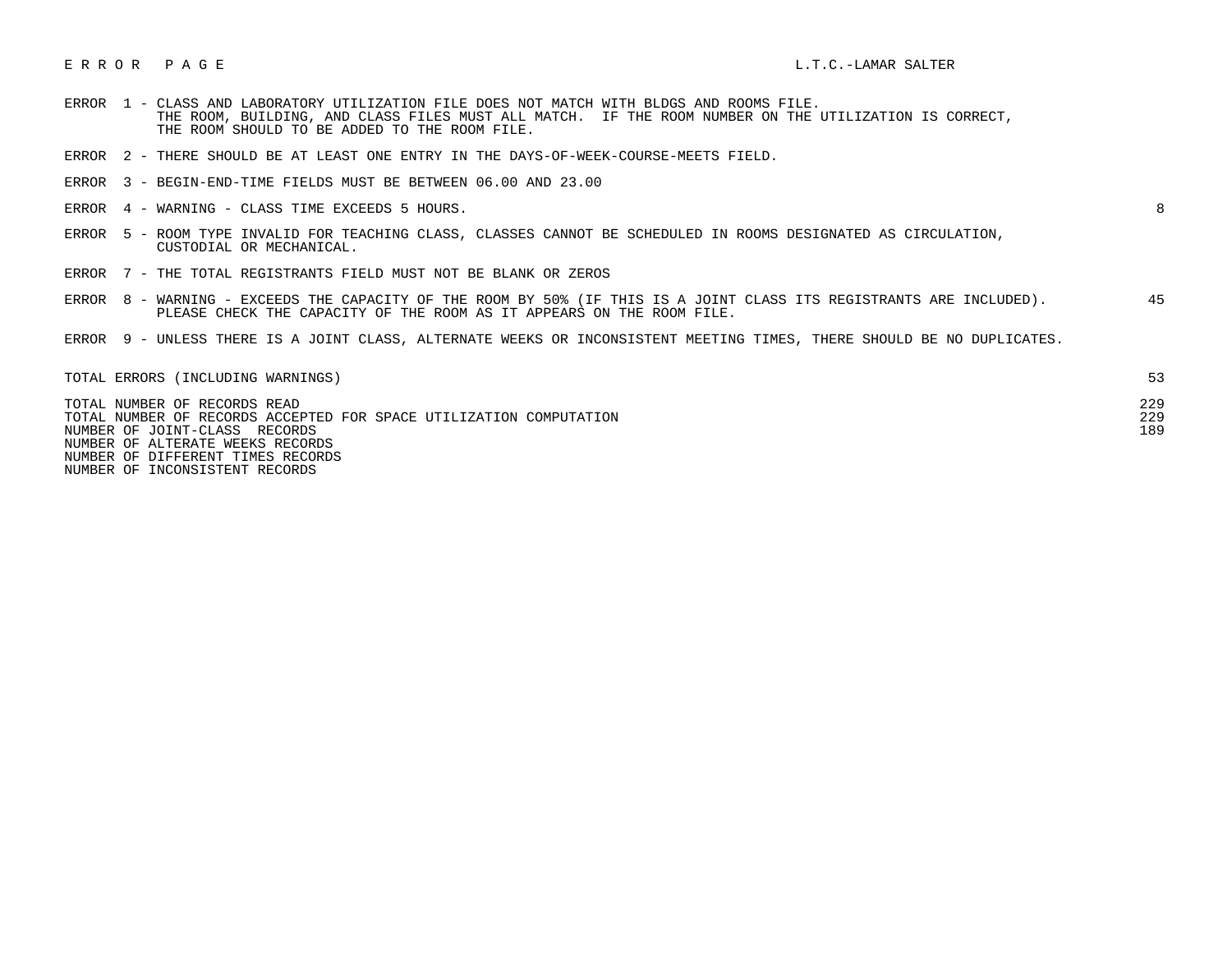# ERROR PAGE EXECUTIVE STATES IN THE LAMAR SALTER LETTER AND RESERVED ASSESSED.

- ERROR 1 CLASS AND LABORATORY UTILIZATION FILE DOES NOT MATCH WITH BLDGS AND ROOMS FILE. THE ROOM, BUILDING, AND CLASS FILES MUST ALL MATCH. IF THE ROOM NUMBER ON THE UTILIZATION IS CORRECT, THE ROOM SHOULD TO BE ADDED TO THE ROOM FILE.
- ERROR 2 THERE SHOULD BE AT LEAST ONE ENTRY IN THE DAYS-OF-WEEK-COURSE-MEETS FIELD.
- ERROR 3 BEGIN-END-TIME FIELDS MUST BE BETWEEN 06.00 AND 23.00
- ERROR 4 WARNING CLASS TIME EXCEEDS 5 HOURS. 8

- ERROR 5 ROOM TYPE INVALID FOR TEACHING CLASS, CLASSES CANNOT BE SCHEDULED IN ROOMS DESIGNATED AS CIRCULATION, CUSTODIAL OR MECHANICAL.
- ERROR 7 THE TOTAL REGISTRANTS FIELD MUST NOT BE BLANK OR ZEROS
- ERROR 8 WARNING EXCEEDS THE CAPACITY OF THE ROOM BY 50% (IF THIS IS A JOINT CLASS ITS REGISTRANTS ARE INCLUDED). 45 PLEASE CHECK THE CAPACITY OF THE ROOM AS IT APPEARS ON THE ROOM FILE.
- ERROR 9 UNLESS THERE IS A JOINT CLASS, ALTERNATE WEEKS OR INCONSISTENT MEETING TIMES, THERE SHOULD BE NO DUPLICATES.

| TOTAL ERRORS (INCLUDING WARNINGS)                                                                  |            |
|----------------------------------------------------------------------------------------------------|------------|
| TOTAL NUMBER OF RECORDS READ<br>TOTAL NUMBER OF RECORDS ACCEPTED FOR SPACE UTILIZATION COMPUTATION | 229<br>229 |
| NUMBER OF JOINT-CLASS RECORDS                                                                      | 189        |
| NUMBER OF ALTERATE WEEKS RECORDS                                                                   |            |
| NUMBER OF DIFFERENT TIMES RECORDS                                                                  |            |

NUMBER OF INCONSISTENT RECORDS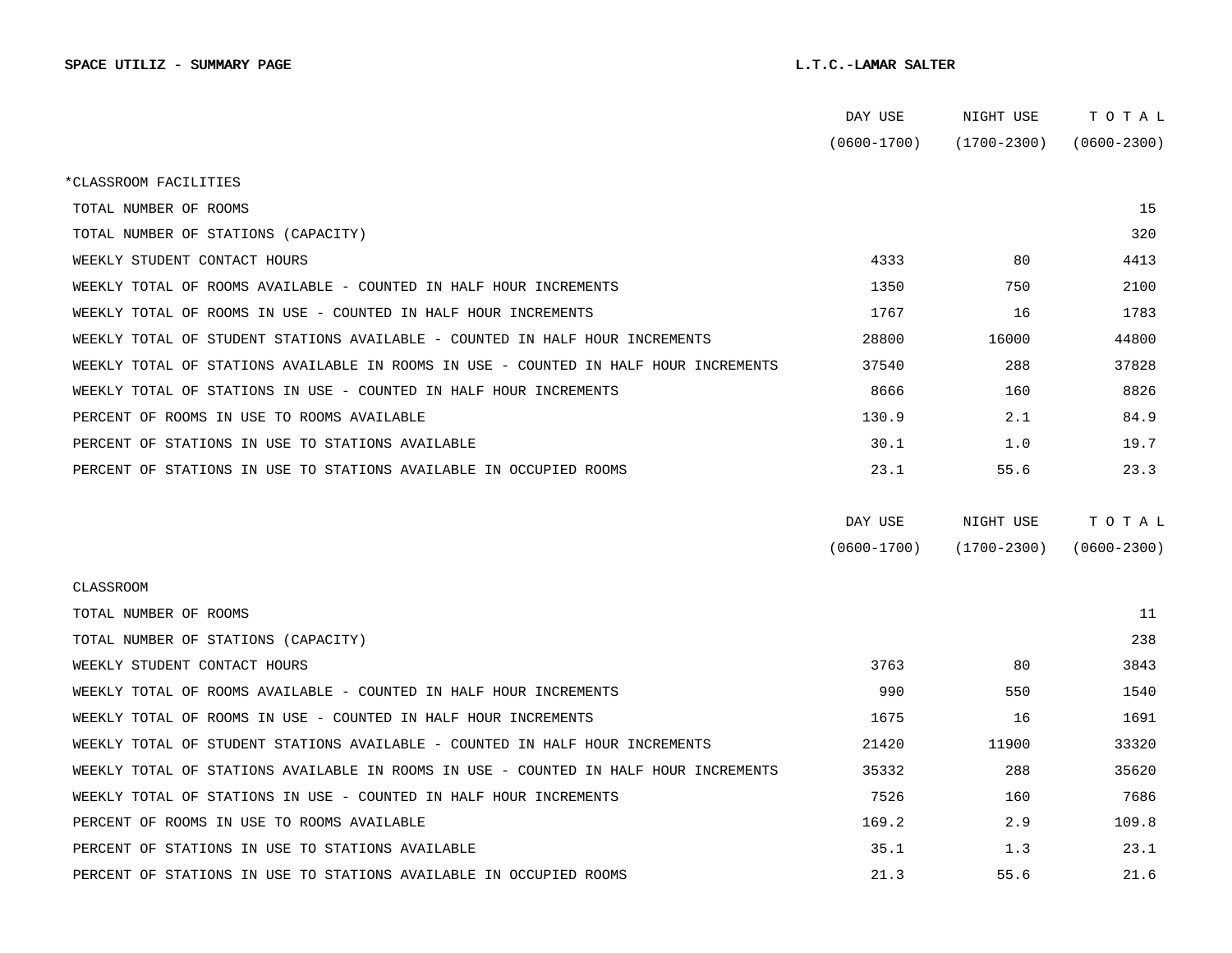|                                                                                      | DAY USE         | NIGHT USE       | тотаь           |  |
|--------------------------------------------------------------------------------------|-----------------|-----------------|-----------------|--|
|                                                                                      | $(0600 - 1700)$ | (1700-2300)     | $(0600 - 2300)$ |  |
| *CLASSROOM FACILITIES                                                                |                 |                 |                 |  |
| TOTAL NUMBER OF ROOMS                                                                |                 |                 | 15              |  |
| TOTAL NUMBER OF STATIONS (CAPACITY)                                                  |                 |                 | 320             |  |
| WEEKLY STUDENT CONTACT HOURS                                                         | 4333            | 80              | 4413            |  |
| WEEKLY TOTAL OF ROOMS AVAILABLE - COUNTED IN HALF HOUR INCREMENTS                    | 1350            | 750             | 2100            |  |
| WEEKLY TOTAL OF ROOMS IN USE - COUNTED IN HALF HOUR INCREMENTS                       | 1767            | 16              | 1783            |  |
| WEEKLY TOTAL OF STUDENT STATIONS AVAILABLE - COUNTED IN HALF HOUR INCREMENTS         | 28800           | 16000           | 44800           |  |
| WEEKLY TOTAL OF STATIONS AVAILABLE IN ROOMS IN USE - COUNTED IN HALF HOUR INCREMENTS | 37540           | 288             | 37828           |  |
| WEEKLY TOTAL OF STATIONS IN USE - COUNTED IN HALF HOUR INCREMENTS                    | 8666            | 160             | 8826            |  |
| PERCENT OF ROOMS IN USE TO ROOMS AVAILABLE                                           | 130.9           | 2.1             | 84.9            |  |
| PERCENT OF STATIONS IN USE TO STATIONS AVAILABLE                                     | 30.1            | 1.0             | 19.7            |  |
| PERCENT OF STATIONS IN USE TO STATIONS AVAILABLE IN OCCUPIED ROOMS                   | 23.1            | 55.6            | 23.3            |  |
|                                                                                      |                 |                 |                 |  |
|                                                                                      | DAY USE         | NIGHT USE       | TOTAL           |  |
|                                                                                      | $(0600 - 1700)$ | $(1700 - 2300)$ | $(0600 - 2300)$ |  |
| CLASSROOM                                                                            |                 |                 |                 |  |
| TOTAL NUMBER OF ROOMS                                                                |                 |                 | 11              |  |
| TOTAL NUMBER OF STATIONS (CAPACITY)                                                  |                 |                 | 238             |  |
| WEEKLY STUDENT CONTACT HOURS                                                         | 3763            | 80              | 3843            |  |
| WEEKLY TOTAL OF ROOMS AVAILABLE - COUNTED IN HALF HOUR INCREMENTS                    | 990             | 550             | 1540            |  |
| WEEKLY TOTAL OF ROOMS IN USE - COUNTED IN HALF HOUR INCREMENTS                       | 1675            | 16              | 1691            |  |
| WEEKLY TOTAL OF STUDENT STATIONS AVAILABLE - COUNTED IN HALF HOUR INCREMENTS         | 21420           | 11900           | 33320           |  |
| WEEKLY TOTAL OF STATIONS AVAILABLE IN ROOMS IN USE - COUNTED IN HALF HOUR INCREMENTS | 35332           | 288             | 35620           |  |
| WEEKLY TOTAL OF STATIONS IN USE - COUNTED IN HALF HOUR INCREMENTS                    | 7526            | 160             | 7686            |  |
| PERCENT OF ROOMS IN USE TO ROOMS AVAILABLE                                           | 169.2           | 2.9             | 109.8           |  |
| PERCENT OF STATIONS IN USE TO STATIONS AVAILABLE                                     | 35.1            | 1.3             | 23.1            |  |
| PERCENT OF STATIONS IN USE TO STATIONS AVAILABLE IN OCCUPIED ROOMS                   | 21.3            | 55.6            | 21.6            |  |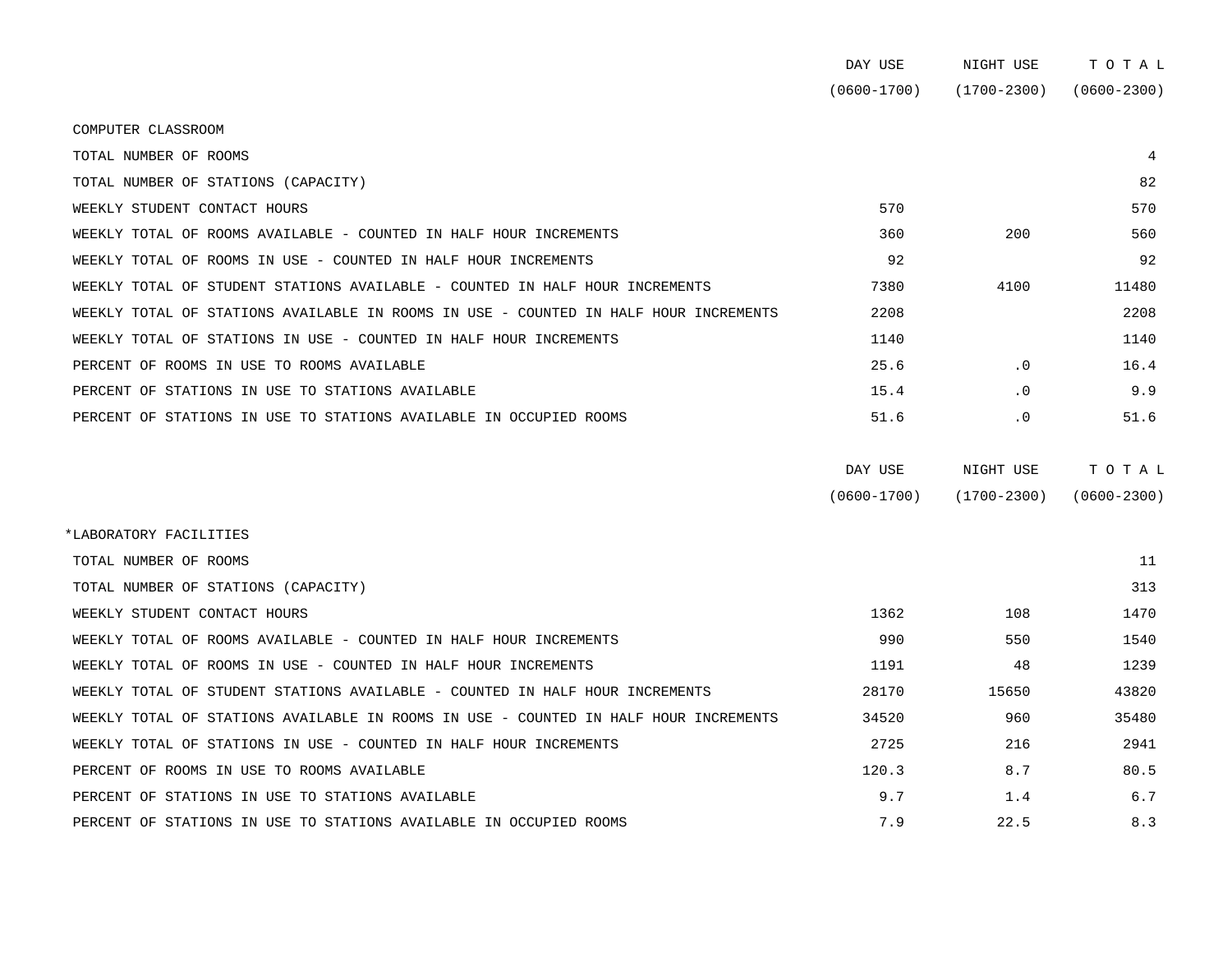|                                                                                      | DAY USE         | NIGHT USE       | TOTAL           |
|--------------------------------------------------------------------------------------|-----------------|-----------------|-----------------|
|                                                                                      | $(0600 - 1700)$ | $(1700 - 2300)$ | $(0600 - 2300)$ |
| COMPUTER CLASSROOM                                                                   |                 |                 |                 |
| TOTAL NUMBER OF ROOMS                                                                |                 |                 | 4               |
| TOTAL NUMBER OF STATIONS (CAPACITY)                                                  |                 |                 | 82              |
| WEEKLY STUDENT CONTACT HOURS                                                         | 570             |                 | 570             |
| WEEKLY TOTAL OF ROOMS AVAILABLE - COUNTED IN HALF HOUR INCREMENTS                    | 360             | 200             | 560             |
| WEEKLY TOTAL OF ROOMS IN USE - COUNTED IN HALF HOUR INCREMENTS                       | 92              |                 | 92              |
| WEEKLY TOTAL OF STUDENT STATIONS AVAILABLE - COUNTED IN HALF HOUR INCREMENTS         | 7380            | 4100            | 11480           |
| WEEKLY TOTAL OF STATIONS AVAILABLE IN ROOMS IN USE - COUNTED IN HALF HOUR INCREMENTS | 2208            |                 | 2208            |
| WEEKLY TOTAL OF STATIONS IN USE - COUNTED IN HALF HOUR INCREMENTS                    | 1140            |                 | 1140            |
| PERCENT OF ROOMS IN USE TO ROOMS AVAILABLE                                           | 25.6            | $\cdot$ 0       | 16.4            |
| PERCENT OF STATIONS IN USE TO STATIONS AVAILABLE                                     | 15.4            | $\cdot$ 0       | 9.9             |
| PERCENT OF STATIONS IN USE TO STATIONS AVAILABLE IN OCCUPIED ROOMS                   | 51.6            | $\cdot$ 0       | 51.6            |

| DAY USE         | NIGHT USE       | тотаь           |
|-----------------|-----------------|-----------------|
| $(0600 - 1700)$ | $(1700 - 2300)$ | $(0600 - 2300)$ |

| *LABORATORY FACILITIES                                                               |       |       |       |
|--------------------------------------------------------------------------------------|-------|-------|-------|
| TOTAL NUMBER OF ROOMS                                                                |       |       | 11    |
| TOTAL NUMBER OF STATIONS (CAPACITY)                                                  |       |       | 313   |
| WEEKLY STUDENT CONTACT HOURS                                                         | 1362  | 108   | 1470  |
| WEEKLY TOTAL OF ROOMS AVAILABLE - COUNTED IN HALF HOUR INCREMENTS                    | 990   | 550   | 1540  |
| WEEKLY TOTAL OF ROOMS IN USE - COUNTED IN HALF HOUR INCREMENTS                       | 1191  | 48    | 1239  |
| WEEKLY TOTAL OF STUDENT STATIONS AVAILABLE - COUNTED IN HALF HOUR INCREMENTS         | 28170 | 15650 | 43820 |
| WEEKLY TOTAL OF STATIONS AVAILABLE IN ROOMS IN USE - COUNTED IN HALF HOUR INCREMENTS | 34520 | 960   | 35480 |
| WEEKLY TOTAL OF STATIONS IN USE - COUNTED IN HALF HOUR INCREMENTS                    | 2725  | 216   | 2941  |
| PERCENT OF ROOMS IN USE TO ROOMS AVAILABLE                                           | 120.3 | 8.7   | 80.5  |
| PERCENT OF STATIONS IN USE TO STATIONS AVAILABLE                                     | 9.7   | 1.4   | 6.7   |
| PERCENT OF STATIONS IN USE TO STATIONS AVAILABLE IN OCCUPIED ROOMS                   | 7.9   | 22.5  | 8.3   |